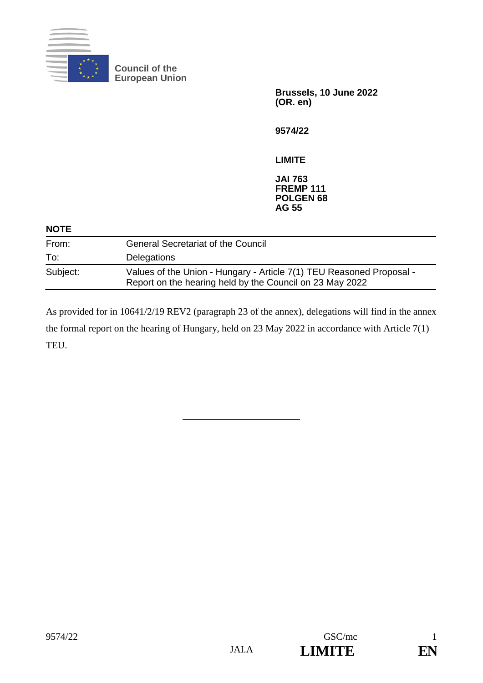

**Council of the European Union**

> **Brussels, 10 June 2022 (OR. en)**

**9574/22**

**LIMITE**

**JAI 763 FREMP 111 POLGEN 68 AG 55**

| <b>NOTE</b> |                                                                                                                                  |
|-------------|----------------------------------------------------------------------------------------------------------------------------------|
| From:       | <b>General Secretariat of the Council</b>                                                                                        |
| To:         | Delegations                                                                                                                      |
| Subject:    | Values of the Union - Hungary - Article 7(1) TEU Reasoned Proposal -<br>Report on the hearing held by the Council on 23 May 2022 |

As provided for in 10641/2/19 REV2 (paragraph 23 of the annex), delegations will find in the annex the formal report on the hearing of Hungary, held on 23 May 2022 in accordance with Article 7(1) TEU.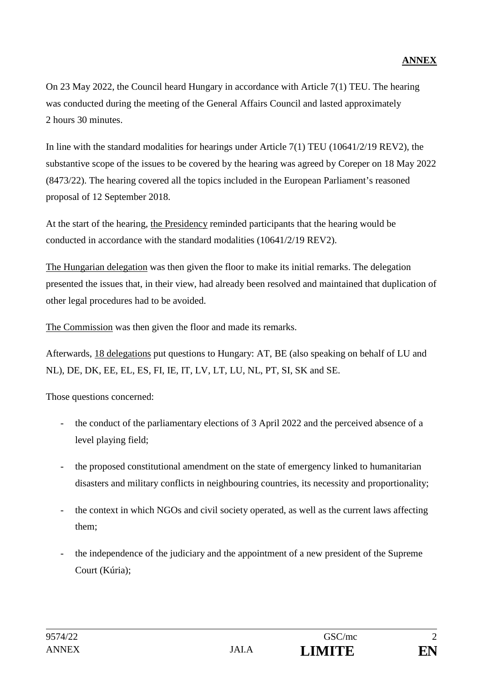On 23 May 2022, the Council heard Hungary in accordance with Article 7(1) TEU. The hearing was conducted during the meeting of the General Affairs Council and lasted approximately 2 hours 30 minutes.

In line with the standard modalities for hearings under Article 7(1) TEU (10641/2/19 REV2), the substantive scope of the issues to be covered by the hearing was agreed by Coreper on 18 May 2022 (8473/22). The hearing covered all the topics included in the European Parliament's reasoned proposal of 12 September 2018.

At the start of the hearing, the Presidency reminded participants that the hearing would be conducted in accordance with the standard modalities (10641/2/19 REV2).

The Hungarian delegation was then given the floor to make its initial remarks. The delegation presented the issues that, in their view, had already been resolved and maintained that duplication of other legal procedures had to be avoided.

The Commission was then given the floor and made its remarks.

Afterwards, 18 delegations put questions to Hungary: AT, BE (also speaking on behalf of LU and NL), DE, DK, EE, EL, ES, FI, IE, IT, LV, LT, LU, NL, PT, SI, SK and SE.

Those questions concerned:

- the conduct of the parliamentary elections of 3 April 2022 and the perceived absence of a level playing field;
- the proposed constitutional amendment on the state of emergency linked to humanitarian disasters and military conflicts in neighbouring countries, its necessity and proportionality;
- the context in which NGOs and civil society operated, as well as the current laws affecting them;
- the independence of the judiciary and the appointment of a new president of the Supreme Court (Kúria);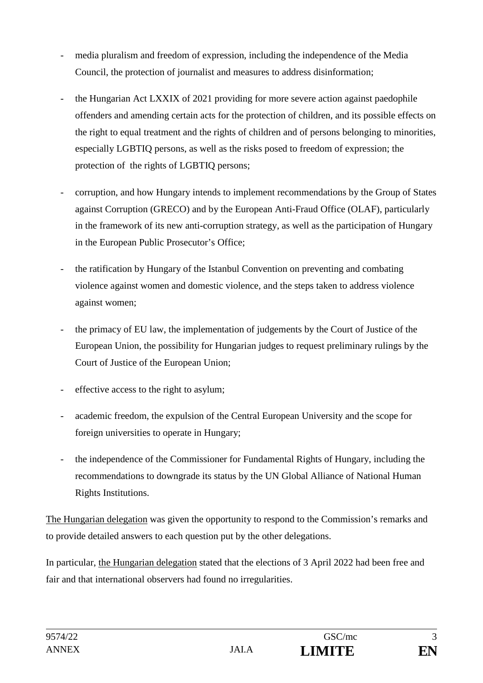- media pluralism and freedom of expression, including the independence of the Media Council, the protection of journalist and measures to address disinformation;
- the Hungarian Act LXXIX of 2021 providing for more severe action against paedophile offenders and amending certain acts for the protection of children, and its possible effects on the right to equal treatment and the rights of children and of persons belonging to minorities, especially LGBTIQ persons, as well as the risks posed to freedom of expression; the protection of the rights of LGBTIQ persons;
- corruption, and how Hungary intends to implement recommendations by the Group of States against Corruption (GRECO) and by the European Anti-Fraud Office (OLAF), particularly in the framework of its new anti-corruption strategy, as well as the participation of Hungary in the European Public Prosecutor's Office;
- the ratification by Hungary of the Istanbul Convention on preventing and combating violence against women and domestic violence, and the steps taken to address violence against women;
- the primacy of EU law, the implementation of judgements by the Court of Justice of the European Union, the possibility for Hungarian judges to request preliminary rulings by the Court of Justice of the European Union;
- effective access to the right to asylum;
- academic freedom, the expulsion of the Central European University and the scope for foreign universities to operate in Hungary;
- the independence of the Commissioner for Fundamental Rights of Hungary, including the recommendations to downgrade its status by the UN Global Alliance of National Human Rights Institutions.

The Hungarian delegation was given the opportunity to respond to the Commission's remarks and to provide detailed answers to each question put by the other delegations.

In particular, the Hungarian delegation stated that the elections of 3 April 2022 had been free and fair and that international observers had found no irregularities.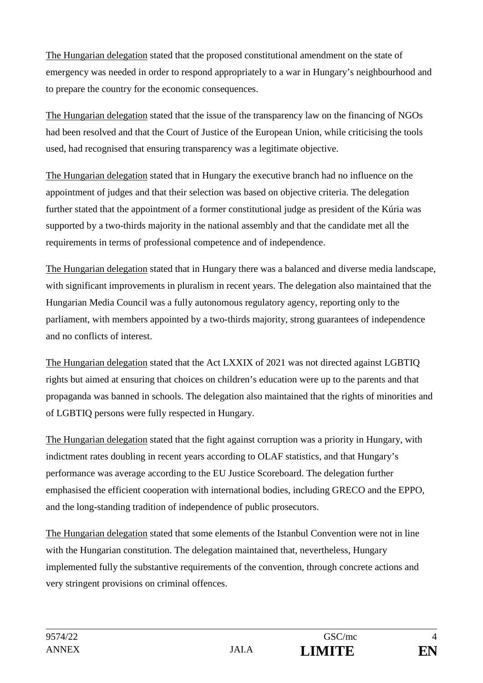The Hungarian delegation stated that the proposed constitutional amendment on the state of emergency was needed in order to respond appropriately to a war in Hungary's neighbourhood and to prepare the country for the economic consequences.

The Hungarian delegation stated that the issue of the transparency law on the financing of NGOs had been resolved and that the Court of Justice of the European Union, while criticising the tools used, had recognised that ensuring transparency was a legitimate objective.

The Hungarian delegation stated that in Hungary the executive branch had no influence on the appointment of judges and that their selection was based on objective criteria. The delegation further stated that the appointment of a former constitutional judge as president of the Kúria was supported by a two-thirds majority in the national assembly and that the candidate met all the requirements in terms of professional competence and of independence.

The Hungarian delegation stated that in Hungary there was a balanced and diverse media landscape, with significant improvements in pluralism in recent years. The delegation also maintained that the Hungarian Media Council was a fully autonomous regulatory agency, reporting only to the parliament, with members appointed by a two-thirds majority, strong guarantees of independence and no conflicts of interest.

The Hungarian delegation stated that the Act LXXIX of 2021 was not directed against LGBTIQ rights but aimed at ensuring that choices on children's education were up to the parents and that propaganda was banned in schools. The delegation also maintained that the rights of minorities and of LGBTIQ persons were fully respected in Hungary.

The Hungarian delegation stated that the fight against corruption was a priority in Hungary, with indictment rates doubling in recent years according to OLAF statistics, and that Hungary's performance was average according to the EU Justice Scoreboard. The delegation further emphasised the efficient cooperation with international bodies, including GRECO and the EPPO, and the long-standing tradition of independence of public prosecutors.

The Hungarian delegation stated that some elements of the Istanbul Convention were not in line with the Hungarian constitution. The delegation maintained that, nevertheless, Hungary implemented fully the substantive requirements of the convention, through concrete actions and very stringent provisions on criminal offences.